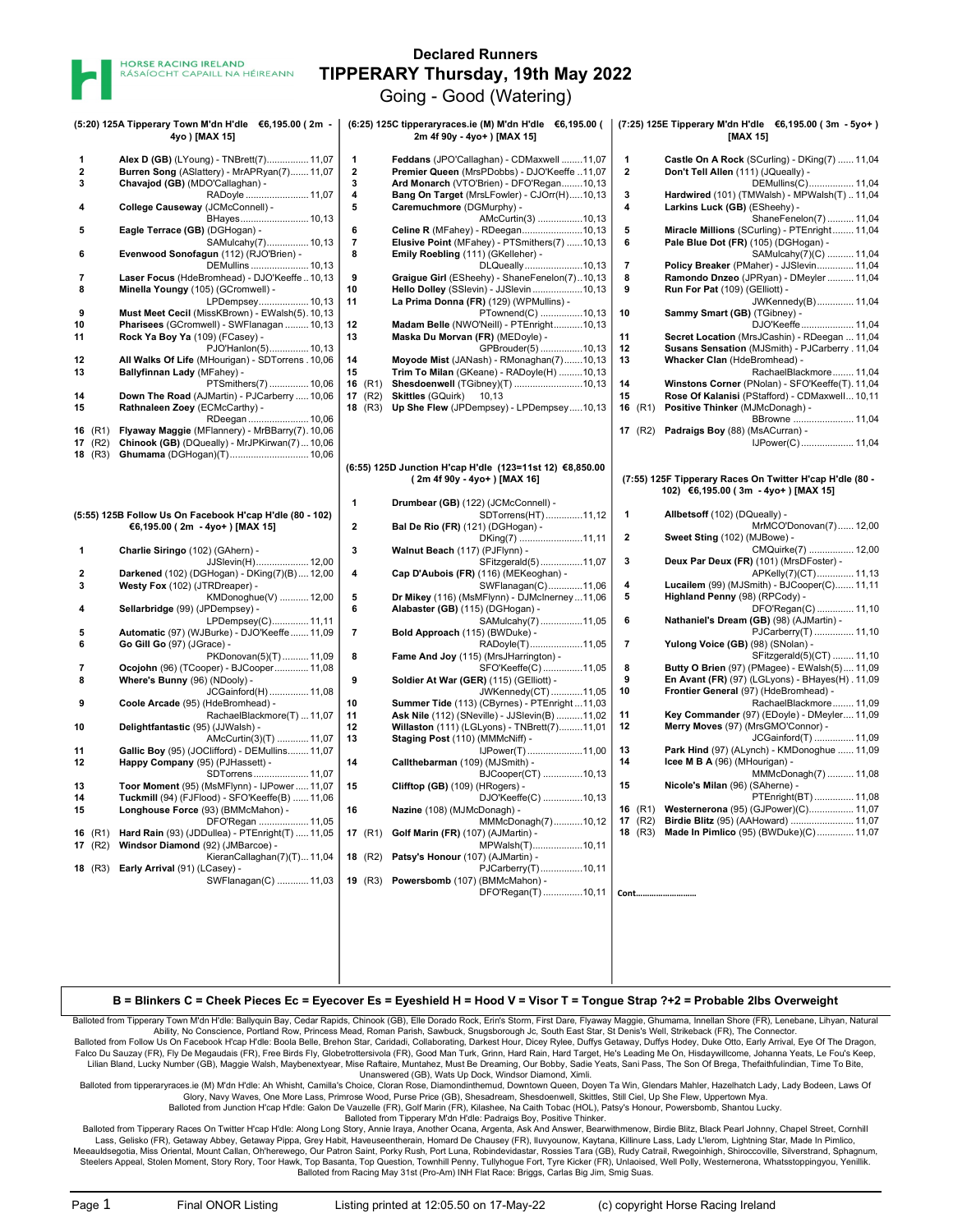

## Declared Runners TIPPERARY Thursday, 19th May 2022

Going - Good (Watering)

| (5:20) 125A Tipperary Town M'dn H'dle €6,195.00 (2m -<br>4yo) [MAX 15] |                                                                                                                                             |                                          | (6:25) 125C tipperaryraces.ie (M) M'dn H'dle €6,195.00 (<br>2m 4f 90y - 4yo+ ) [MAX 15]                                                                                              | (7:25) 125E Tipperary M'dn H'dle €6,195.00 (3m - 5yo+)<br>[MAX 15] |                                                                                                                                                             |
|------------------------------------------------------------------------|---------------------------------------------------------------------------------------------------------------------------------------------|------------------------------------------|--------------------------------------------------------------------------------------------------------------------------------------------------------------------------------------|--------------------------------------------------------------------|-------------------------------------------------------------------------------------------------------------------------------------------------------------|
| $\overline{\mathbf{2}}$<br>3                                           | Alex D (GB) (LYoung) - TNBrett(7) 11,07<br>Burren Song (ASlattery) - MrAPRyan(7) 11,07<br>Chavajod (GB) (MDO'Callaghan) -<br>RADoyle  11,07 | 1<br>2<br>3<br>4                         | Feddans (JPO'Callaghan) - CDMaxwell 11,07<br>Premier Queen (MrsPDobbs) - DJO'Keeffe 11,07<br>Ard Monarch (VTO'Brien) - DFO'Regan10,13<br>Bang On Target (MrsLFowler) - CJOrr(H)10,13 | $\mathbf{1}$<br>$\mathbf{2}$<br>3                                  | Castle On A Rock (SCurling) - DKing(7)  11,04<br>Don't Tell Allen (111) (JQueally) -<br>DEMullins(C) 11,04<br>Hardwired (101) (TMWalsh) - MPWalsh(T)  11,04 |
| 4                                                                      | College Causeway (JCMcConnell) -<br>BHayes 10,13                                                                                            | 5                                        | Caremuchmore (DGMurphy) -<br>AMcCurtin(3) 10,13                                                                                                                                      | 4                                                                  | Larkins Luck (GB) (ESheehy) -<br>ShaneFenelon(7)  11,04                                                                                                     |
| 5                                                                      | Eagle Terrace (GB) (DGHogan) -<br>SAMulcahy(7) 10,13                                                                                        | 6<br>$\overline{7}$<br>8                 | Celine R (MFahey) - RDeegan10,13<br>Elusive Point (MFahey) - PTSmithers(7) 10,13                                                                                                     | 5<br>6                                                             | Miracle Millions (SCurling) - PTEnright 11,04<br>Pale Blue Dot (FR) (105) (DGHogan) -                                                                       |
| 6<br>7                                                                 | Evenwood Sonofagun (112) (RJO'Brien) -<br>DEMullins  10,13<br>Laser Focus (HdeBromhead) - DJO'Keeffe 10,13                                  | 9                                        | Emily Roebling (111) (GKelleher) -<br>DLQueally10,13<br>Graigue Girl (ESheehy) - ShaneFenelon(7)10,13                                                                                | $\overline{7}$<br>8                                                | SAMulcahy(7)(C)  11,04<br>Policy Breaker (PMaher) - JJSlevin 11,04<br>Ramondo Dnzeo (JPRyan) - DMeyler  11,04                                               |
| 8                                                                      | Minella Youngy (105) (GCromwell) -<br>LPDempsey 10,13                                                                                       | 10<br>11                                 | Hello Dolley (SSlevin) - JJSlevin 10,13<br>La Prima Donna (FR) (129) (WPMullins) -                                                                                                   | 9                                                                  | Run For Pat (109) (GElliott) -<br>JWKennedy(B) 11,04                                                                                                        |
| 9<br>10                                                                | Must Meet Cecil (MissKBrown) - EWalsh(5). 10,13<br>Pharisees (GCromwell) - SWFlanagan  10,13                                                | 12                                       | PTownend(C) 10,13<br>Madam Belle (NWO'Neill) - PTEnright10,13                                                                                                                        | 10                                                                 | Sammy Smart (GB) (TGibney) -<br>DJO'Keeffe 11,04                                                                                                            |
| 11                                                                     | Rock Ya Boy Ya (109) (FCasey) -<br>PJO'Hanlon(5) 10,13                                                                                      | 13                                       | Maska Du Morvan (FR) (MEDoyle) -<br>GPBrouder(5) 10,13                                                                                                                               | 11<br>12                                                           | Secret Location (MrsJCashin) - RDeegan  11,04<br>Susans Sensation (MJSmith) - PJCarberry . 11,04                                                            |
| 12<br>13                                                               | All Walks Of Life (MHourigan) - SDTorrens. 10,06<br>Ballyfinnan Lady (MFahey) -                                                             | 14<br>15                                 | Moyode Mist (JANash) - RMonaghan(7)10,13<br>Trim To Milan (GKeane) - RADoyle(H) 10,13                                                                                                | 13                                                                 | Whacker Clan (HdeBromhead) -<br>RachaelBlackmore 11,04                                                                                                      |
| 14<br>15                                                               | PTSmithers(7)  10,06<br>Down The Road (AJMartin) - PJCarberry  10,06<br>Rathnaleen Zoey (ECMcCarthy) -                                      | 16 $(R1)$<br>17 $(R2)$<br><b>18</b> (R3) | Shesdoenwell (TGibney)(T) 10,13<br><b>Skittles</b> (GQuirk)<br>10,13<br>Up She Flew (JPDempsey) - LPDempsey10,13                                                                     | 14<br>15<br>16 $(R1)$                                              | Winstons Corner (PNolan) - SFO'Keeffe(T). 11,04<br>Rose Of Kalanisi (PStafford) - CDMaxwell 10,11<br>Positive Thinker (MJMcDonagh) -                        |
| <b>16</b> (R1)                                                         | RDeegan  10,06<br>Flyaway Maggie (MFlannery) - MrBBarry(7). 10,06                                                                           |                                          |                                                                                                                                                                                      | <b>17</b> (R2)                                                     | BBrowne  11,04<br>Padraigs Boy (88) (MsACurran) -                                                                                                           |
| $17$ (R2)<br><b>18</b> (R3)                                            | Chinook (GB) (DQueally) - MrJPKirwan(7)  10,06<br>Ghumama (DGHogan)(T) 10,06                                                                |                                          |                                                                                                                                                                                      |                                                                    | IJPower(C) 11,04                                                                                                                                            |
|                                                                        |                                                                                                                                             |                                          | (6:55) 125D Junction H'cap H'dle (123=11st 12) €8,850.00<br>(2m 4f 90y - 4yo+) [MAX 16]                                                                                              |                                                                    | (7:55) 125F Tipperary Races On Twitter H'cap H'dle (80 -<br>102) €6,195.00 (3m - 4yo+) [MAX 15]                                                             |
|                                                                        | (5:55) 125B Follow Us On Facebook H'cap H'dle (80 - 102)<br>€6,195.00 (2m - 4yo+) [MAX 15]                                                  | 1<br>$\overline{2}$                      | Drumbear (GB) (122) (JCMcConnell) -<br>SDTorrens(HT)11,12                                                                                                                            | $\mathbf{1}$                                                       | Allbetsoff (102) (DQueally) -<br>MrMCO'Donovan(7) 12,00                                                                                                     |
| 1                                                                      | Charlie Siringo (102) (GAhern) -                                                                                                            | 3                                        | Bal De Rio (FR) (121) (DGHogan) -<br>DKing(7) 11,11<br>Walnut Beach (117) (PJFlynn) -                                                                                                | $\mathbf{2}$                                                       | Sweet Sting (102) (MJBowe) -<br>CMQuirke(7)  12,00                                                                                                          |
| 2                                                                      | JJSlevin(H) 12,00<br>Darkened (102) (DGHogan) - DKing(7)(B) 12,00                                                                           | 4                                        | SFitzgerald(5)11,07<br>Cap D'Aubois (FR) (116) (MEKeoghan) -                                                                                                                         | 3                                                                  | Deux Par Deux (FR) (101) (MrsDFoster) -<br>APKelly(7)(CT) 11,13                                                                                             |
| 3                                                                      | Westy Fox (102) (JTRDreaper) -<br>KMDonoghue(V)  12,00                                                                                      | 5                                        | SWFlanagan(C)11,06<br>Dr Mikey (116) (MsMFlynn) - DJMcInerney11,06                                                                                                                   | 4<br>5                                                             | Lucailem (99) (MJSmith) - BJCooper(C) 11,11<br>Highland Penny (98) (RPCody) -                                                                               |
| 4                                                                      | Sellarbridge (99) (JPDempsey) -<br>LPDempsey(C) 11,11                                                                                       | 6                                        | Alabaster (GB) (115) (DGHogan) -<br>SAMulcahy(7)11,05                                                                                                                                | 6                                                                  | DFO'Regan(C)  11,10<br>Nathaniel's Dream (GB) (98) (AJMartin) -                                                                                             |
| 5<br>6                                                                 | Automatic (97) (WJBurke) - DJO'Keeffe  11,09<br>Go Gill Go (97) (JGrace) -<br>PKDonovan(5)(T) 11,09                                         | $\overline{7}$<br>8                      | Bold Approach (115) (BWDuke) -<br>RADoyle(T)11,05<br>Fame And Joy (115) (MrsJHarrington) -                                                                                           | $\overline{7}$                                                     | PJCarberry(T)  11,10<br>Yulong Voice (GB) (98) (SNolan) -<br>SFitzgerald(5)(CT)  11,10                                                                      |
| 7<br>8                                                                 | Ocojohn (96) (TCooper) - BJCooper 11,08<br>Where's Bunny (96) (NDooly) -                                                                    | 9                                        | SFO'Keeffe(C)11,05<br>Soldier At War (GER) (115) (GElliott) -                                                                                                                        | 8<br>9                                                             | Butty O Brien (97) (PMagee) - EWalsh(5) 11,09<br>En Avant (FR) (97) (LGLyons) - BHayes(H) . 11,09                                                           |
| 9                                                                      | JCGainford(H)  11,08<br>Coole Arcade (95) (HdeBromhead) -                                                                                   | 10                                       | JWKennedy(CT)11,05<br>Summer Tide (113) (CByrnes) - PTEnright11,03                                                                                                                   | 10                                                                 | Frontier General (97) (HdeBromhead) -<br>RachaelBlackmore 11,09                                                                                             |
| 10                                                                     | RachaelBlackmore(T)  11,07<br>Delightfantastic (95) (JJWalsh) -                                                                             | 11<br>12                                 | Ask Nile (112) (SNeville) - JJSlevin(B) 11,02<br>Willaston (111) (LGLyons) - TNBrett(7)11,01                                                                                         | 11<br>12                                                           | Key Commander (97) (EDoyle) - DMeyler 11,09<br>Merry Moves (97) (MrsGMO'Connor) -                                                                           |
| 11                                                                     | AMcCurtin(3)(T)  11,07<br>Gallic Boy (95) (JOClifford) - DEMullins 11,07                                                                    | 13                                       | Staging Post (110) (MMMcNiff) -<br>IJPower(T)11,00                                                                                                                                   | 13<br>14                                                           | JCGainford(T)  11,09<br>Park Hind (97) (ALynch) - KMDonoghue  11,09<br>Icee M B A (96) (MHourigan) -                                                        |
| 12<br>13                                                               | Happy Company (95) (PJHassett) -<br>SDTorrens 11,07<br>Toor Moment (95) (MsMFlynn) - IJPower 11,07                                          | 14<br>15                                 | Callthebarman (109) (MJSmith) -<br>BJCooper(CT) 10,13<br>Clifftop (GB) (109) (HRogers) -                                                                                             | 15                                                                 | MMMcDonagh(7)  11,08<br>Nicole's Milan (96) (SAherne) -                                                                                                     |
| 14<br>15                                                               | Tuckmill (94) (FJFlood) - SFO'Keeffe(B)  11,06<br>Longhouse Force (93) (BMMcMahon) -                                                        | 16                                       | DJO'Keeffe(C) 10,13<br>Nazine (108) (MJMcDonagh) -                                                                                                                                   |                                                                    | PTEnright(BT) 11,08<br>16 (R1) Westernerona (95) (GJPower)(C) 11,07                                                                                         |
|                                                                        | DFO'Regan  11,05<br>16 (R1) Hard Rain (93) (JDDullea) - PTEnright(T)  11,05                                                                 |                                          | MMMcDonagh(7)10,12<br>17 (R1) Golf Marin (FR) (107) (AJMartin) -                                                                                                                     |                                                                    | 17 (R2) Birdie Blitz (95) (AAHoward)  11,07<br>18 (R3) Made In Pimlico (95) (BWDuke)(C) 11,07                                                               |
| 17 $(R2)$                                                              | Windsor Diamond (92) (JMBarcoe) -<br>KieranCallaghan(7)(T) 11,04                                                                            | 18 $(R2)$                                | MPWalsh(T)10,11<br>Patsy's Honour (107) (AJMartin) -                                                                                                                                 |                                                                    |                                                                                                                                                             |
|                                                                        | 18 (R3) Early Arrival (91) (LCasey) -<br>SWFlanagan(C)  11,03                                                                               |                                          | PJCarberry(T)10,11<br>19 (R3) Powersbomb (107) (BMMcMahon) -                                                                                                                         |                                                                    |                                                                                                                                                             |
|                                                                        |                                                                                                                                             |                                          | DFO'Regan(T)10,11                                                                                                                                                                    | Cont                                                               |                                                                                                                                                             |
|                                                                        |                                                                                                                                             |                                          |                                                                                                                                                                                      |                                                                    |                                                                                                                                                             |

## B = Blinkers C = Cheek Pieces Ec = Eyecover Es = Eyeshield H = Hood V = Visor T = Tongue Strap ?+2 = Probable 2lbs Overweight

Balloted from Tipperary Town M'dn H'dle: Ballyquin Bay, Cedar Rapids, Chinook (GB), Elle Dorado Rock, Erin's Storm, First Dare, Flyaway Maggie, Ghumama, Innellan Shore (FR), Lenebane, Lihyan, Natural Ability, No Conscience, Portland Row, Princess Mead, Roman Parish, Sawbuck, Snugsborough Jc, South East Star, St Denis's Well, Strikeback (FR), The Connector. Balloted from Follow Us On Facebook H'cap H'dle: Boola Belle, Brehon Star, Caridadi, Collaborating, Darkest Hour, Dicey Rylee, Duffys Getaway, Duffys Hodey, Duke Otto, Early Arrival, Eye Of The Dragon,<br>Falco Du Sauzay (FR)

Unanswered (GB), Wats Up Dock, Windsor Diamond, Ximli. Balloted from tipperaryraces.ie (M) M'dn H'dle: Ah Whisht, Camilla's Choice, Cloran Rose, Diamondinthemud, Downtown Queen, Doyen Ta Win, Glendars Mahler, Hazelhatch Lady, Lady Bodeen, Laws Of Glory, Navy Waves, One More Lass, Primrose Wood, Purse Price (GB), Shesadream, Shesdoenwell, Skittles, Still Ciel, Up She Flew, Uppertown Mya.

Balloted from Junction H'cap H'dle: Galon De Vauzelle (FR), Golf Marin (FR), Kilashee, Na Caith Tobac (HOL), Patsy's Honour, Powersbomb, Shantou Lucky.<br>Balloted from Tipperary M'dn H'dle: Padraigs Boy, Positive Thinker.

Balloted from Tipperary Races On Twitter H'cap H'dle: Along Long Story, Annie Iraya, Another Ocana, Argenta, Ask And Answer, Bearwithmenow, Birdie Blitz, Black Pearl Johnny, Chapel Street, Cornhill Lass, Gelisko (FR), Getaway Abbey, Getaway Pippa, Grey Habit, Haveuseentherain, Homard De Chausey (FR), Iluvyounow, Kaytana, Killinure Lass, Lady L'Ierom, Lightning Star, Made In Pimlico,<br>Meeauldsegotia, Miss Oriental, Mo Steelers Appeal, Stolen Moment, Story Rory, Toor Hawk, Top Basanta, Top Question, Townhill Penny, Tullyhogue Fort, Tyre Kicker (FR), Unlaoised, Well Polly, Westernerona, Whatsstoppingyou, Yenillik. Balloted from Racing May 31st (Pro-Am) INH Flat Race: Briggs, Carlas Big Jim, Smig Suas.